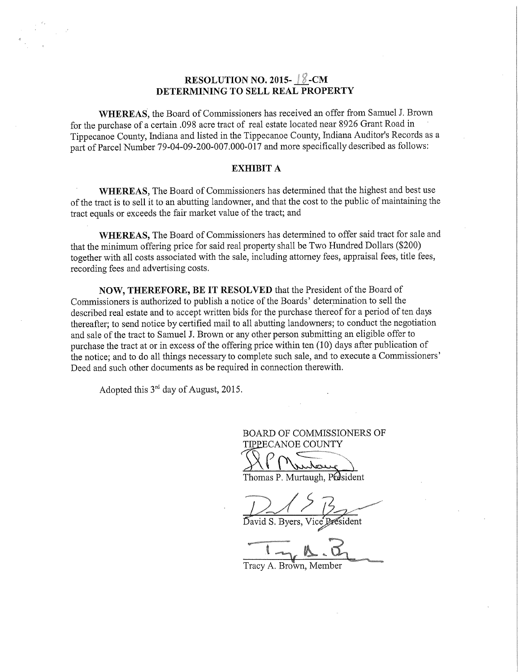# RESOLUTION NO. 2015- $\sqrt{8}$ -CM DETERMINING TO SELL REAL PROPERTY

WHEREAS, the Board of Commissioners has received an offer from Samuel J. Brown for the purchase of <sup>a</sup> certain .098 acre tract of real estate located near <sup>8926</sup> Grant Road in Tippecanoe County, Indiana and listed in the Tippecanoe County, Indiana Auditor's Records as <sup>a</sup> part of Parcel Number 79-04-09-200-007.000-017 and more specifically described as follows:

## EXHIBIT A

WHEREAS, The Board of Commissioners has determined that the highest and best use of the tract is to sell it to an abutting landowner, and that the cost to the public of maintaining the tract equals or exceeds the fair market value of the tract; and

WHEREAS, The Board of Commissioners has determined to offer said tract for sale and that the minimum offering price for said real property shall be Two Hundred Dollars (\$200) together with all costs associated with the sale, including attorney fees, appraisal fees, title fees, recording fees and advertising costs.

NOW, THEREFORE, BE IT RESOLVED that the President of the Board of Commissioners is authorized to publish <sup>a</sup> notice of the Boards' determination to sell the described real estate and to accept written bids for the purchase thereof for a period of ten days thereafter; to send notice by certified mail to all abutting landowners; to conduct the negotiation and sale of the tract to Samuel J. Brown or any other person submitting an eligible offer to purchase the tract at or in excess of the offering price within ten (10) days after publication of the notice; and to do all things necessary to complete such sale, and to execute <sup>a</sup> Commissioners' Deed and such other documents as be required in connection therewith.

Adopted this  $3<sup>rd</sup>$  day of August, 2015.

BOARD OF COMMISSIONERS OF TIPPECANOE COUNTY

' <sup>m</sup>",

'S Contract of the Contract of . Murtaugh, P**re**sident

and the contract of the contract of David S. Byers, Vice President

%

Tracy A. Brown, Member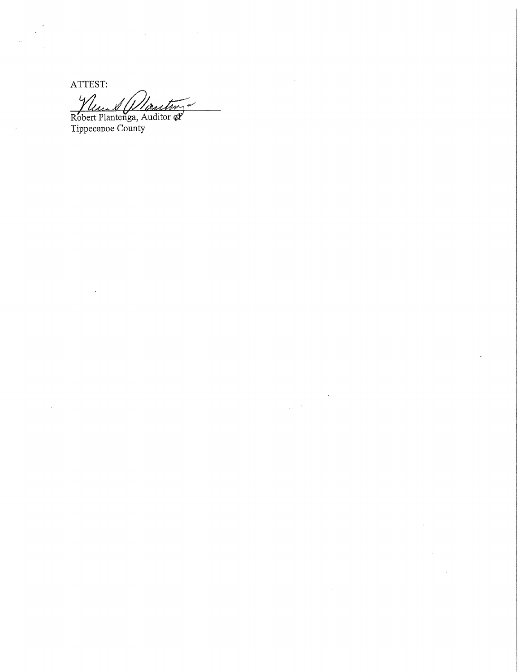ATTEST: Y 1/sec Ignation X)

Robert Plantenga, Auditor of Tippecanoe County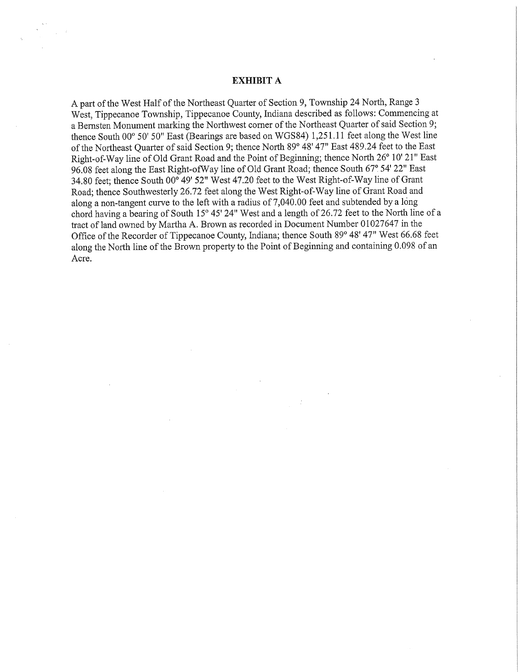#### EXHIBIT A

A part of the West Half of the Northeast Quarter of Section 9, Township <sup>24</sup> North, Range <sup>3</sup> West, Tippecanoe Township, Tippecanoe County, Indiana described as follows: Commencing at a Bernsten Monument marking the Northwest corner of the Northeast Quarter of said Section 9; thence South 00° 50' 50" East (Bearings are based on WGS84) 1,251.11 feet along the West line of the Northeast Quarter of said Section 9; thence North 89° 48' 47" East 489.24 feet to the East Right-of-Way line of Old Grant Road and the Point of Beginning; thence North 26° 10' 21" East 96.08 feet along the East Right-ofWay line of Old Grant Road; thence South 67° 54' 22" East 34.80 feet; thence South 00° 49' 52" West 47.20 feet to the West Right—of-Way line of Grant Road; thence Southwesterly 26.72 feet along the West Right-of—Way line of Grant Road and along a non-tangent curve to the left with a radius of  $7,040.00$  feet and subtended by a long chord having <sup>a</sup> bearing of South 15° 45' 24" West and <sup>a</sup> length of 26.72 feet to the North line of <sup>a</sup> tract of land owned by Martha A. Brown as recorded in Document Number <sup>01027647</sup> in the Office of the Recorder of Tippecanoe County, Indiana; thence South 89° 48'47" West 66.68 feet along the North line of the Brown property to the Point of Beginning and containing 0.098 of an Acre.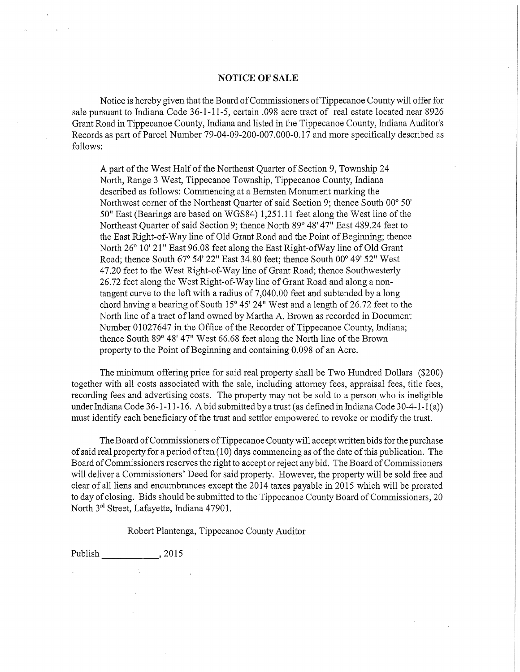## NOTICE OF SALE

Notice is hereby given that the Board ofCommissioners ofTippecanoe County will offer for sale pursuant to Indiana Code 36-1-11-5, certain .098 acre tract of real estate located near 8926 Grant Road in Tippecanoe County, Indiana and listed in the Tippecanoe County, Indiana Auditor's Records as part of Parcel Number 79-04-09-200-007.000-0.17 and more specifically described as follows:

A part of the West Half of the Northeast Quarter of Section 9, Township 24 North, Range 3 West, Tippecanoe Township, Tippecanoe County, Indiana described as follows: Commencing at <sup>a</sup> Bernsten Monument marking the Northwest corner of the Northeast Quarter of said Section 9; thence South 00° 50' 50" East (Bearings are based on WGS84) 1,251.11 feet along the West line of the Northeast Quarter of said Section 9; thence North 89° 48'47" East 489.24 feet to the East Right-of-Way line of Old Grant Road and the Point of Beginning; thence North 26° 10′ 21" East 96.08 feet along the East Right-ofWay line of Old Grant Road; thence South 67° 54'22" East 34.80 feet; thence South 00° 49' 52" West 47.20 feet to the West Right-of~Way line of Grant Road; thence Southwesterly 26.72 feet along the West Right-of—Way line of Grant Road and along <sup>a</sup> nontangent curve to the left with <sup>a</sup> radius of 7,040.00 feet and subtended by <sup>a</sup> long chord having a bearing of South  $15^{\circ}$  45' 24" West and a length of 26.72 feet to the North line of <sup>a</sup> tract of land owned by Martha A. Brown as recorded in Document Number 01027647 in the Office of the Recorder of Tippecanoe County, Indiana; thence South 89° 48' 47" West 66.68 feet along the North line of the Brown property to the Point of Beginning and containing 0.098 of an Acre.

The minimum offering price for said real property shall be Two Hundred Dollars (\$200) together with all costs associated with the sale, including attorney fees, appraisal fees, title fees, recording fees and advertising costs. The property may not be sold to a person who is ineligible under Indiana Code 36-1-11-16. A bid submitted by a trust (as defined in Indiana Code 30-4-1-1(a)) must identify each beneficiary of the trust and settlor empowered to revoke or modify the trust.

The Board ofCommissioners ofTippecanoe County will accept written bids forthe purchase of said real property for a period of ten  $(10)$  days commencing as of the date of this publication. The Board of Commissioners reserves the right to accept or reject any bid. The Board of Commissioners will deliver <sup>a</sup> Commissioners' Deed for said property. However, the property will be sold free and clear of all liens and encumbrances except the 2014 taxes payable in 2015 which will be prorated to day of closing. Bids should be submitted to the Tippecanoe County Board of Commissioners, 20 North 3rd Street, Lafayette, Indiana 47901.

Robert Plantenga, Tippecanoe County Auditor

Publish 2015

 $\mathcal{A}_{\mathcal{A}}$  .